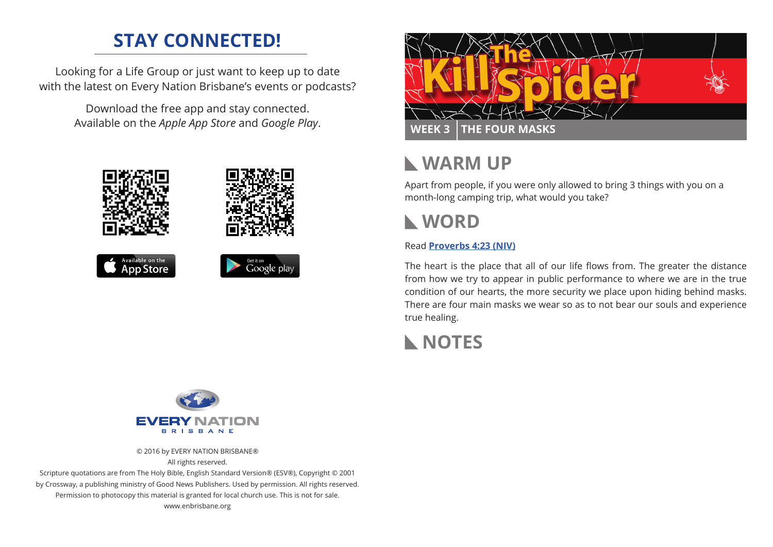## **STAY CONNECTED!**

Looking for a Life Group or just want to keep up to date with the latest on Every Nation Brisbane's events or podcasts?

> Download the free app and stay connected. Available on the *Apple App Store* and *Google Play*.





## **WARM UP**

Apart from people, if you were only allowed to bring 3 things with you on a month-long camping trip, what would you take?

# **WORD**

#### Read **Proverbs 4:23 (NIV)**

The heart is the place that all of our life flows from. The greater the distance from how we try to appear in public performance to where we are in the true condition of our hearts, the more security we place upon hiding behind masks. There are four main masks we wear so as to not bear our souls and experience true healing.





© 2016 by EVERY NATION BRISBANE® All rights reserved.

Scripture quotations are from The Holy Bible, English Standard Version® (ESV®), Copyright © 2001 by Crossway, a publishing ministry of Good News Publishers. Used by permission. All rights reserved. Permission to photocopy this material is granted for local church use. This is not for sale. www.enbrisbane.org